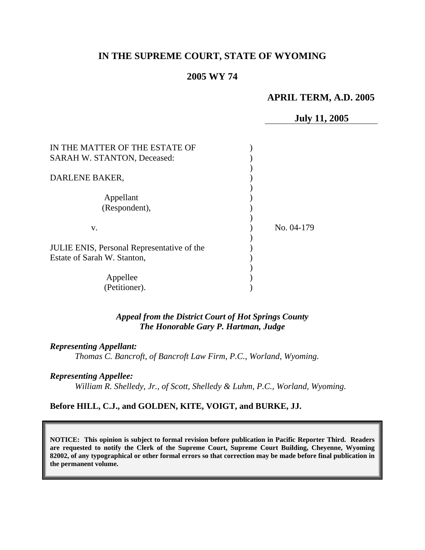# **IN THE SUPREME COURT, STATE OF WYOMING**

## **2005 WY 74**

## **APRIL TERM, A.D. 2005**

**July 11, 2005**  IN THE MATTER OF THE ESTATE OF ) SARAH W. STANTON, Deceased: (1) ) DARLENE BAKER, ) Appellant ) (Respondent), ) ) v. ) No. 04-179 ) JULIE ENIS, Personal Representative of the ) Estate of Sarah W. Stanton, (1988) ) Appellee (a) (Petitioner). )

> *Appeal from the District Court of Hot Springs County The Honorable Gary P. Hartman, Judge*

### *Representing Appellant:*

*Thomas C. Bancroft, of Bancroft Law Firm, P.C., Worland, Wyoming.* 

### *Representing Appellee:*

*William R. Shelledy, Jr., of Scott, Shelledy & Luhm, P.C., Worland, Wyoming.* 

## **Before HILL, C.J., and GOLDEN, KITE, VOIGT, and BURKE, JJ.**

**NOTICE: This opinion is subject to formal revision before publication in Pacific Reporter Third. Readers are requested to notify the Clerk of the Supreme Court, Supreme Court Building, Cheyenne, Wyoming 82002, of any typographical or other formal errors so that correction may be made before final publication in the permanent volume.**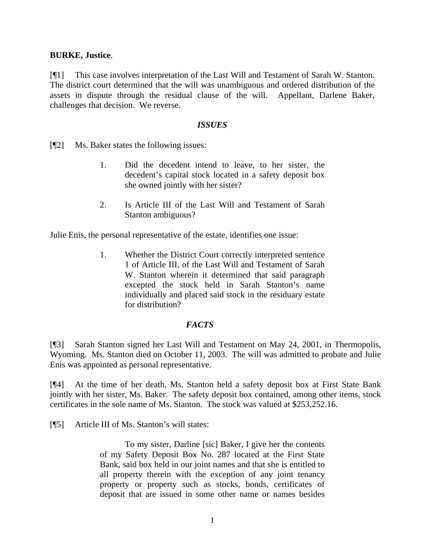## **BURKE, Justice**.

[¶1] This case involves interpretation of the Last Will and Testament of Sarah W. Stanton. The district court determined that the will was unambiguous and ordered distribution of the assets in dispute through the residual clause of the will. Appellant, Darlene Baker, challenges that decision. We reverse.

## *ISSUES*

[¶2] Ms. Baker states the following issues:

- 1. Did the decedent intend to leave, to her sister, the decedent's capital stock located in a safety deposit box she owned jointly with her sister?
- 2. Is Article III of the Last Will and Testament of Sarah Stanton ambiguous?

Julie Enis, the personal representative of the estate, identifies one issue:

1. Whether the District Court correctly interpreted sentence 1 of Article III, of the Last Will and Testament of Sarah W. Stanton wherein it determined that said paragraph excepted the stock held in Sarah Stanton's name individually and placed said stock in the residuary estate for distribution?

# *FACTS*

[¶3] Sarah Stanton signed her Last Will and Testament on May 24, 2001, in Thermopolis, Wyoming. Ms. Stanton died on October 11, 2003. The will was admitted to probate and Julie Enis was appointed as personal representative.

[¶4] At the time of her death, Ms. Stanton held a safety deposit box at First State Bank jointly with her sister, Ms. Baker. The safety deposit box contained, among other items, stock certificates in the sole name of Ms. Stanton. The stock was valued at \$253,252.16.

[¶5] Article III of Ms. Stanton's will states:

To my sister, Darline [sic] Baker, I give her the contents of my Safety Deposit Box No. 287 located at the First State Bank, said box held in our joint names and that she is entitled to all property therein with the exception of any joint tenancy property or property such as stocks, bonds, certificates of deposit that are issued in some other name or names besides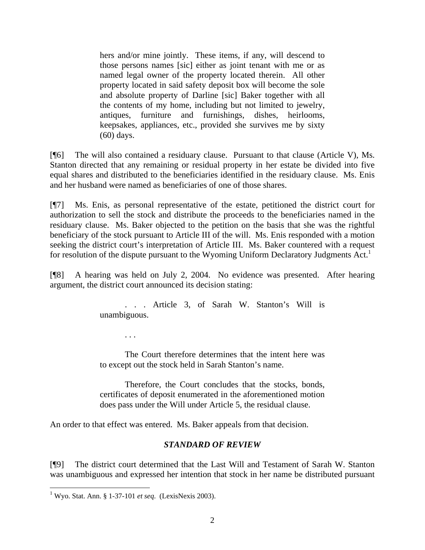hers and/or mine jointly. These items, if any, will descend to those persons names [sic] either as joint tenant with me or as named legal owner of the property located therein. All other property located in said safety deposit box will become the sole and absolute property of Darline [sic] Baker together with all the contents of my home, including but not limited to jewelry, antiques, furniture and furnishings, dishes, heirlooms, keepsakes, appliances, etc., provided she survives me by sixty (60) days.

[¶6] The will also contained a residuary clause. Pursuant to that clause (Article V), Ms. Stanton directed that any remaining or residual property in her estate be divided into five equal shares and distributed to the beneficiaries identified in the residuary clause. Ms. Enis and her husband were named as beneficiaries of one of those shares.

[¶7] Ms. Enis, as personal representative of the estate, petitioned the district court for authorization to sell the stock and distribute the proceeds to the beneficiaries named in the residuary clause. Ms. Baker objected to the petition on the basis that she was the rightful beneficiary of the stock pursuant to Article III of the will. Ms. Enis responded with a motion seeking the district court's interpretation of Article III. Ms. Baker countered with a request for resolution of the dispute pursuant to the Wyoming Uniform Declaratory Judgments Act.<sup>[1](#page-2-0)</sup>

[¶8] A hearing was held on July 2, 2004. No evidence was presented. After hearing argument, the district court announced its decision stating:

> . . . Article 3, of Sarah W. Stanton's Will is unambiguous.

> > . . .

The Court therefore determines that the intent here was to except out the stock held in Sarah Stanton's name.

Therefore, the Court concludes that the stocks, bonds, certificates of deposit enumerated in the aforementioned motion does pass under the Will under Article 5, the residual clause.

An order to that effect was entered. Ms. Baker appeals from that decision.

# *STANDARD OF REVIEW*

[¶9] The district court determined that the Last Will and Testament of Sarah W. Stanton was unambiguous and expressed her intention that stock in her name be distributed pursuant

 $\overline{a}$ 

<span id="page-2-0"></span><sup>1</sup> Wyo. Stat. Ann. § 1-37-101 *et seq*. (LexisNexis 2003).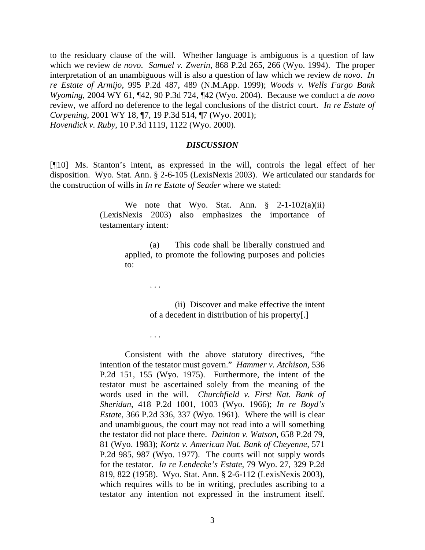to the residuary clause of the will. Whether language is ambiguous is a question of law which we review *de novo*. *Samuel v. Zwerin*, 868 P.2d 265, 266 (Wyo. 1994). The proper interpretation of an unambiguous will is also a question of law which we review *de novo*. *In re Estate of Armijo*, 995 P.2d 487, 489 (N.M.App. 1999); *Woods v. Wells Fargo Bank Wyoming*, 2004 WY 61, ¶42, 90 P.3d 724, ¶42 (Wyo. 2004). Because we conduct a *de novo* review, we afford no deference to the legal conclusions of the district court. *[In re Estate of](http://www.lexis.com/research/xlink?app=00075&view=full&searchtype=get&search=2001+WY+18%2C+P7)  Corpening*[, 2001 WY 18, ¶7, 19 P.3d 514, ¶7 \(Wyo. 2001\);](http://www.lexis.com/research/xlink?app=00075&view=full&searchtype=get&search=2001+WY+18%2C+P7) *Hovendick v. Ruby*, 10 P.3d 1119, 1122 (Wyo. 2000).

#### *DISCUSSION*

[¶10] Ms. Stanton's intent, as expressed in the will, controls the legal effect of her disposition. Wyo. Stat. Ann. § 2-6-105 (LexisNexis 2003). We articulated our standards for the construction of wills in *In re Estate of Seader* where we stated:

> We note that Wyo. Stat. Ann.  $\S$  2-1-102(a)(ii) (LexisNexis 2003) also emphasizes the importance of testamentary intent:

> > (a) This code shall be liberally construed and applied, to promote the following purposes and policies to:

> > > . . .

. . .

(ii) Discover and make effective the intent of a decedent in distribution of his property[.]

Consistent with the above statutory directives, "the intention of the testator must govern." *Hammer v. Atchison,* 536 P.2d 151, 155 (Wyo. 1975). Furthermore, the intent of the testator must be ascertained solely from the meaning of the words used in the will. *Churchfield v. First Nat. Bank of Sheridan*, 418 P.2d 1001, 1003 (Wyo. 1966); *In re Boyd's Estate*, 366 P.2d 336, 337 (Wyo. 1961). Where the will is clear and unambiguous, the court may not read into a will something the testator did not place there. *Dainton v. Watson,* 658 P.2d 79, 81 (Wyo. 1983); *Kortz v. American Nat. Bank of Cheyenne*, 571 P.2d 985, 987 (Wyo. 1977). The courts will not supply words for the testator. *In re Lendecke's Estate*, 79 Wyo. 27, 329 P.2d 819, 822 (1958). Wyo. Stat. Ann. § 2-6-112 (LexisNexis 2003), which requires wills to be in writing, precludes ascribing to a testator any intention not expressed in the instrument itself.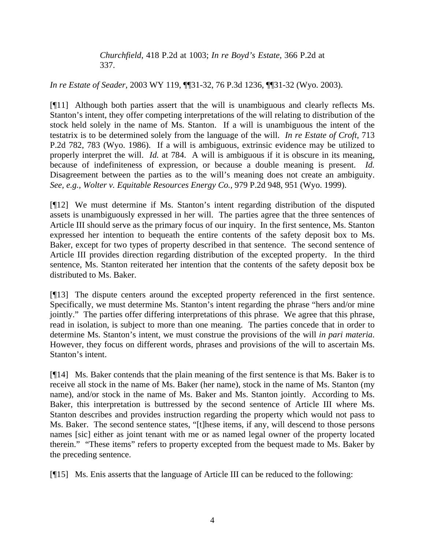*Churchfield*, 418 P.2d at 1003; *In re Boyd's Estate*, 366 P.2d at 337.

*In re Estate of Seader*, 2003 WY 119, ¶¶31-32, 76 P.3d 1236, ¶¶31-32 (Wyo. 2003).

[¶11] Although both parties assert that the will is unambiguous and clearly reflects Ms. Stanton's intent, they offer competing interpretations of the will relating to distribution of the stock held solely in the name of Ms. Stanton. If a will is unambiguous the intent of the testatrix is to be determined solely from the language of the will. *In re Estate of Croft*, 713 P.2d 782, 783 (Wyo. 1986). If a will is ambiguous, extrinsic evidence may be utilized to properly interpret the will. *Id.* at 784. A will is ambiguous if it is obscure in its meaning, because of indefiniteness of expression, or because a double meaning is present. *Id.* Disagreement between the parties as to the will's meaning does not create an ambiguity. *See, e.g., Wolter v. Equitable Resources Energy Co.,* 979 P.2d 948, 951 (Wyo. 1999).

[¶12] We must determine if Ms. Stanton's intent regarding distribution of the disputed assets is unambiguously expressed in her will. The parties agree that the three sentences of Article III should serve as the primary focus of our inquiry. In the first sentence, Ms. Stanton expressed her intention to bequeath the entire contents of the safety deposit box to Ms. Baker, except for two types of property described in that sentence. The second sentence of Article III provides direction regarding distribution of the excepted property. In the third sentence, Ms. Stanton reiterated her intention that the contents of the safety deposit box be distributed to Ms. Baker.

[¶13] The dispute centers around the excepted property referenced in the first sentence. Specifically, we must determine Ms. Stanton's intent regarding the phrase "hers and/or mine jointly." The parties offer differing interpretations of this phrase. We agree that this phrase, read in isolation, is subject to more than one meaning. The parties concede that in order to determine Ms. Stanton's intent, we must construe the provisions of the will *in pari materia*. However, they focus on different words, phrases and provisions of the will to ascertain Ms. Stanton's intent.

[¶14] Ms. Baker contends that the plain meaning of the first sentence is that Ms. Baker is to receive all stock in the name of Ms. Baker (her name), stock in the name of Ms. Stanton (my name), and/or stock in the name of Ms. Baker and Ms. Stanton jointly. According to Ms. Baker, this interpretation is buttressed by the second sentence of Article III where Ms. Stanton describes and provides instruction regarding the property which would not pass to Ms. Baker. The second sentence states, "[t]hese items, if any, will descend to those persons names [sic] either as joint tenant with me or as named legal owner of the property located therein." "These items" refers to property excepted from the bequest made to Ms. Baker by the preceding sentence.

[¶15] Ms. Enis asserts that the language of Article III can be reduced to the following: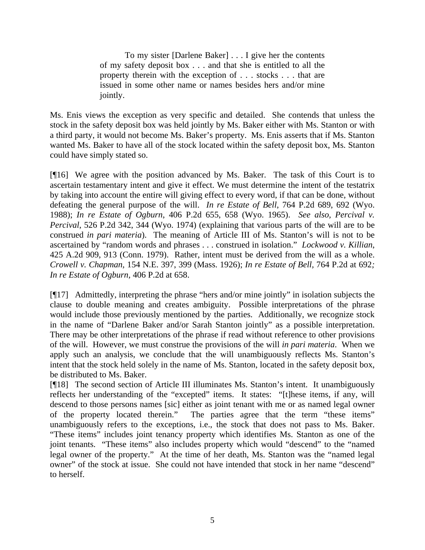To my sister [Darlene Baker] . . . I give her the contents of my safety deposit box . . . and that she is entitled to all the property therein with the exception of . . . stocks . . . that are issued in some other name or names besides hers and/or mine jointly.

Ms. Enis views the exception as very specific and detailed. She contends that unless the stock in the safety deposit box was held jointly by Ms. Baker either with Ms. Stanton or with a third party, it would not become Ms. Baker's property. Ms. Enis asserts that if Ms. Stanton wanted Ms. Baker to have all of the stock located within the safety deposit box, Ms. Stanton could have simply stated so.

[¶16] We agree with the position advanced by Ms. Baker. The task of this Court is to ascertain testamentary intent and give it effect. We must determine the intent of the testatrix by taking into account the entire will giving effect to every word, if that can be done, without defeating the general purpose of the will. *In re Estate of Bell*, 764 P.2d 689, 692 (Wyo. 1988); *In re Estate of Ogburn*, 406 P.2d 655, 658 (Wyo. 1965). *See also, Percival v. Percival*, 526 P.2d 342, 344 (Wyo. 1974) (explaining that various parts of the will are to be construed *in pari materia*). The meaning of Article III of Ms. Stanton's will is not to be ascertained by "random words and phrases . . . construed in isolation." *Lockwood v. Killian*, 425 A.2d 909, 913 (Conn. 1979). Rather, intent must be derived from the will as a whole. *Crowell v. Chapman,* 154 N.E. 397, 399 (Mass. 1926); *In re Estate of Bell,* 764 P.2d at 692*; In re Estate of Ogburn,* 406 P.2d at 658.

[¶17] Admittedly, interpreting the phrase "hers and/or mine jointly" in isolation subjects the clause to double meaning and creates ambiguity. Possible interpretations of the phrase would include those previously mentioned by the parties. Additionally, we recognize stock in the name of "Darlene Baker and/or Sarah Stanton jointly" as a possible interpretation. There may be other interpretations of the phrase if read without reference to other provisions of the will. However, we must construe the provisions of the will *in pari materia*. When we apply such an analysis, we conclude that the will unambiguously reflects Ms. Stanton's intent that the stock held solely in the name of Ms. Stanton, located in the safety deposit box, be distributed to Ms. Baker.

[¶18] The second section of Article III illuminates Ms. Stanton's intent. It unambiguously reflects her understanding of the "excepted" items. It states: "[t]hese items, if any, will descend to those persons names [sic] either as joint tenant with me or as named legal owner<br>of the property located therein." The parties agree that the term "these items" The parties agree that the term "these items" unambiguously refers to the exceptions, i.e., the stock that does not pass to Ms. Baker. "These items" includes joint tenancy property which identifies Ms. Stanton as one of the joint tenants. "These items" also includes property which would "descend" to the "named legal owner of the property." At the time of her death, Ms. Stanton was the "named legal owner" of the stock at issue. She could not have intended that stock in her name "descend" to herself.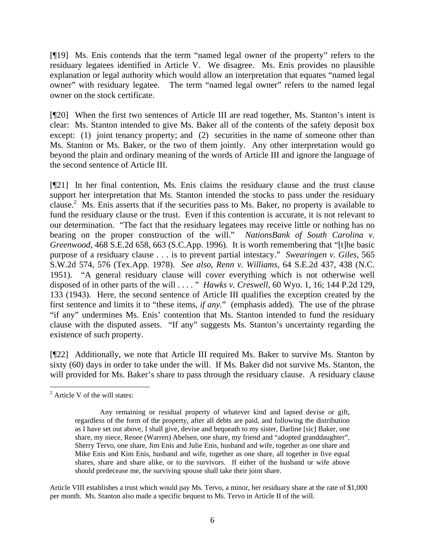[¶19] Ms. Enis contends that the term "named legal owner of the property" refers to the residuary legatees identified in Article V. We disagree. Ms. Enis provides no plausible explanation or legal authority which would allow an interpretation that equates "named legal owner" with residuary legatee. The term "named legal owner" refers to the named legal owner on the stock certificate.

[¶20] When the first two sentences of Article III are read together, Ms. Stanton's intent is clear: Ms. Stanton intended to give Ms. Baker all of the contents of the safety deposit box except: (1) joint tenancy property; and (2) securities in the name of someone other than Ms. Stanton or Ms. Baker, or the two of them jointly. Any other interpretation would go beyond the plain and ordinary meaning of the words of Article III and ignore the language of the second sentence of Article III.

[¶21] In her final contention, Ms. Enis claims the residuary clause and the trust clause support her interpretation that Ms. Stanton intended the stocks to pass under the residuary clause.<sup>[2](#page-6-0)</sup> Ms. Enis asserts that if the securities pass to Ms. Baker, no property is available to fund the residuary clause or the trust. Even if this contention is accurate, it is not relevant to our determination. "The fact that the residuary legatees may receive little or nothing has no bearing on the proper construction of the will." *NationsBank of South Carolina v. Greenwood*, 468 S.E.2d 658, 663 (S.C.App. 1996). It is worth remembering that "[t]he basic purpose of a residuary clause . . . is to prevent partial intestacy." *Swearingen v. Giles*, 565 S.W.2d 574, 576 (Tex.App. 1978). *See also, Renn v. Williams*[, 64 S.E.2d 437, 438 \(N.C.](http://www.lexis.com/research/xlink?app=00075&view=full&searchtype=get&search=233+N.C.+491)  [1951\)](http://www.lexis.com/research/xlink?app=00075&view=full&searchtype=get&search=233+N.C.+491). "A general residuary clause will cover everything which is not otherwise well disposed of in other parts of the will . . . . " *Hawks v. Creswell*, 60 Wyo. 1, 16; 144 P.2d 129, 133 (1943). Here, the second sentence of Article III qualifies the exception created by the first sentence and limits it to "these items, *if any*." (emphasis added). The use of the phrase "if any" undermines Ms. Enis' contention that Ms. Stanton intended to fund the residuary clause with the disputed assets. "If any" suggests Ms. Stanton's uncertainty regarding the existence of such property.

[¶22] Additionally, we note that Article III required Ms. Baker to survive Ms. Stanton by sixty (60) days in order to take under the will. If Ms. Baker did not survive Ms. Stanton, the will provided for Ms. Baker's share to pass through the residuary clause. A residuary clause

<span id="page-6-0"></span> $2^2$  Article V of the will states:

Any remaining or residual property of whatever kind and lapsed devise or gift, regardless of the form of the property, after all debts are paid, and following the distribution as I have set out above, I shall give, devise and bequeath to my sister, Darline [sic] Baker, one share, my niece, Renee (Warren) Abelsen, one share, my friend and "adopted granddaughter", Sherry Tervo, one share, Jim Enis and Julie Enis, husband and wife, together as one share and Mike Enis and Kim Enis, husband and wife, together as one share, all together in five equal shares, share and share alike, or to the survivors. If either of the husband or wife above should predecease me, the surviving spouse shall take their joint share.

Article VIII establishes a trust which would pay Ms. Tervo, a minor, her residuary share at the rate of \$1,000 per month. Ms. Stanton also made a specific bequest to Ms. Tervo in Article II of the will.